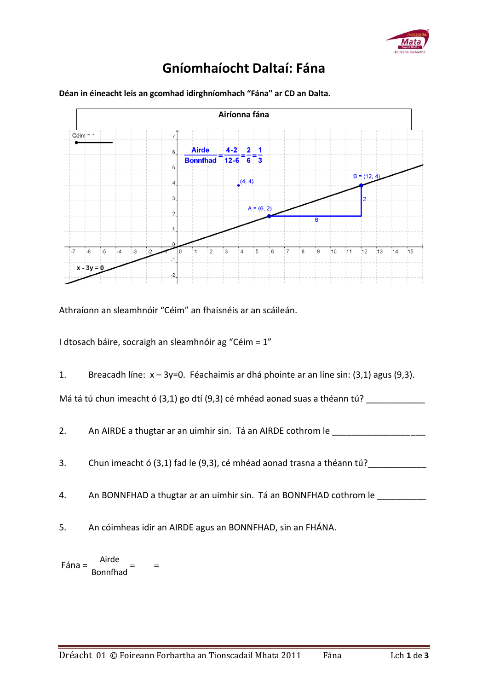

## **Gníomhaíocht Daltaí: Fána**



**Déan in éineacht leis an gcomhad idirghníomhach "Fána" ar CD an Dalta.** 

Athraíonn an sleamhnóir "Céim" an fhaisnéis ar an scáileán.

I dtosach báire, socraigh an sleamhnóir ag "Céim = 1"

1. Breacadh líne: x – 3y=0. Féachaimis ar dhá phointe ar an líne sin: (3,1) agus (9,3).

Má tá tú chun imeacht ó (3,1) go dtí (9,3) cé mhéad aonad suas a théann tú?

2. An AIRDE a thugtar ar an uimhir sin. Tá an AIRDE cothrom le \_\_\_\_\_\_\_\_\_\_\_\_

- 3. Chun imeacht ó (3,1) fad le (9,3), cé mhéad aonad trasna a théann tú?
- 4. An BONNFHAD a thugtar ar an uimhir sin. Tá an BONNFHAD cothrom le \_\_\_\_\_\_\_\_\_\_\_
- 5. An cóimheas idir an AIRDE agus an BONNFHAD, sin an FHÁNA.

Fána =  $\frac{\text{Airde}}{\text{a} + \text{b} + \text{c}} =$  =  $\frac{\text{birde}}{\text{cirb}} =$ Bonnfhad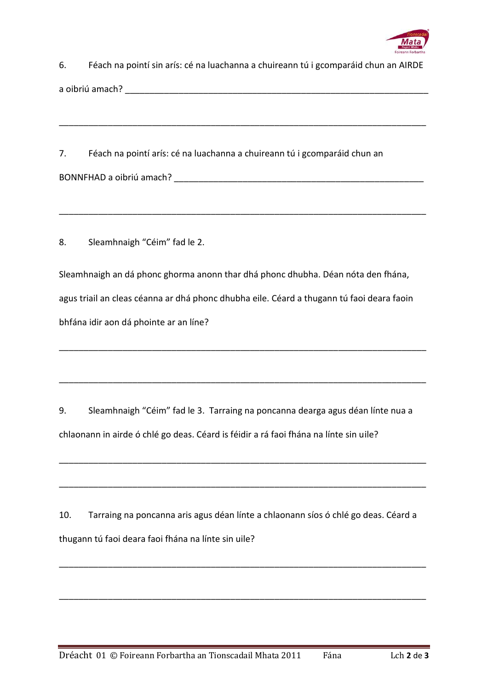

| 6. | Féach na pointí sin arís: cé na luachanna a chuireann tú i gcomparáid chun an AIRDE |
|----|-------------------------------------------------------------------------------------|
|    | a oibriú amach?                                                                     |

\_\_\_\_\_\_\_\_\_\_\_\_\_\_\_\_\_\_\_\_\_\_\_\_\_\_\_\_\_\_\_\_\_\_\_\_\_\_\_\_\_\_\_\_\_\_\_\_\_\_\_\_\_\_\_\_\_\_\_\_\_\_\_\_\_\_\_\_\_\_\_\_\_\_\_

\_\_\_\_\_\_\_\_\_\_\_\_\_\_\_\_\_\_\_\_\_\_\_\_\_\_\_\_\_\_\_\_\_\_\_\_\_\_\_\_\_\_\_\_\_\_\_\_\_\_\_\_\_\_\_\_\_\_\_\_\_\_\_\_\_\_\_\_\_\_\_\_\_\_\_

7. Féach na pointí arís: cé na luachanna a chuireann tú i gcomparáid chun an BONNFHAD a oibriú amach? \_\_\_\_\_\_\_\_\_\_\_\_\_\_\_\_\_\_\_\_\_\_\_\_\_\_\_\_\_\_\_\_\_\_\_\_\_\_\_\_\_\_\_\_\_\_\_\_\_\_\_

8. Sleamhnaigh "Céim" fad le 2.

Sleamhnaigh an dá phonc ghorma anonn thar dhá phonc dhubha. Déan nóta den fhána, agus triail an cleas céanna ar dhá phonc dhubha eile. Céard a thugann tú faoi deara faoin bhfána idir aon dá phointe ar an líne?

\_\_\_\_\_\_\_\_\_\_\_\_\_\_\_\_\_\_\_\_\_\_\_\_\_\_\_\_\_\_\_\_\_\_\_\_\_\_\_\_\_\_\_\_\_\_\_\_\_\_\_\_\_\_\_\_\_\_\_\_\_\_\_\_\_\_\_\_\_\_\_\_\_\_\_

\_\_\_\_\_\_\_\_\_\_\_\_\_\_\_\_\_\_\_\_\_\_\_\_\_\_\_\_\_\_\_\_\_\_\_\_\_\_\_\_\_\_\_\_\_\_\_\_\_\_\_\_\_\_\_\_\_\_\_\_\_\_\_\_\_\_\_\_\_\_\_\_\_\_\_

9. Sleamhnaigh "Céim" fad le 3. Tarraing na poncanna dearga agus déan línte nua a chlaonann in airde ó chlé go deas. Céard is féidir a rá faoi fhána na línte sin uile?

\_\_\_\_\_\_\_\_\_\_\_\_\_\_\_\_\_\_\_\_\_\_\_\_\_\_\_\_\_\_\_\_\_\_\_\_\_\_\_\_\_\_\_\_\_\_\_\_\_\_\_\_\_\_\_\_\_\_\_\_\_\_\_\_\_\_\_\_\_\_\_\_\_\_\_

\_\_\_\_\_\_\_\_\_\_\_\_\_\_\_\_\_\_\_\_\_\_\_\_\_\_\_\_\_\_\_\_\_\_\_\_\_\_\_\_\_\_\_\_\_\_\_\_\_\_\_\_\_\_\_\_\_\_\_\_\_\_\_\_\_\_\_\_\_\_\_\_\_\_\_

10. Tarraing na poncanna aris agus déan línte a chlaonann síos ó chlé go deas. Céard a thugann tú faoi deara faoi fhána na línte sin uile?

\_\_\_\_\_\_\_\_\_\_\_\_\_\_\_\_\_\_\_\_\_\_\_\_\_\_\_\_\_\_\_\_\_\_\_\_\_\_\_\_\_\_\_\_\_\_\_\_\_\_\_\_\_\_\_\_\_\_\_\_\_\_\_\_\_\_\_\_\_\_\_\_\_\_\_

\_\_\_\_\_\_\_\_\_\_\_\_\_\_\_\_\_\_\_\_\_\_\_\_\_\_\_\_\_\_\_\_\_\_\_\_\_\_\_\_\_\_\_\_\_\_\_\_\_\_\_\_\_\_\_\_\_\_\_\_\_\_\_\_\_\_\_\_\_\_\_\_\_\_\_